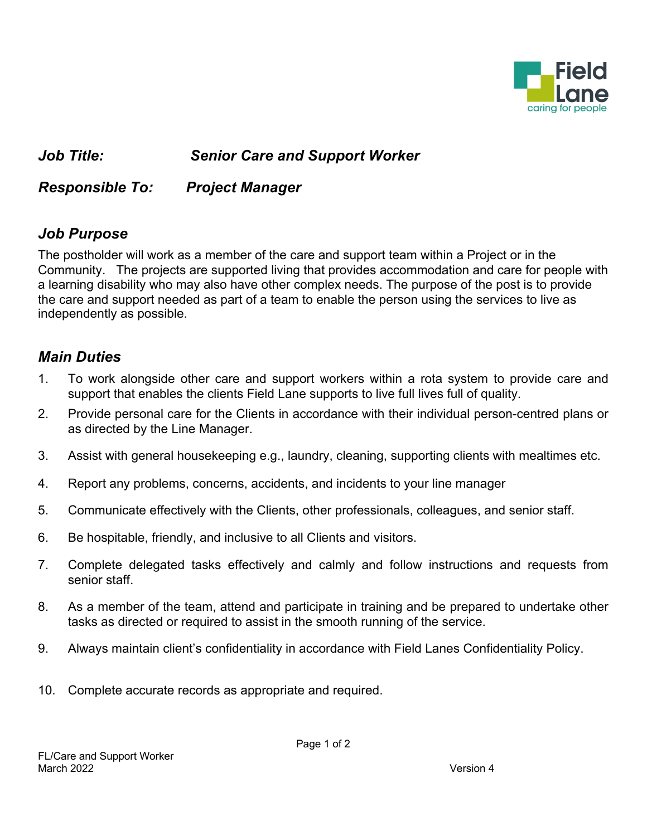

## *Job Title: Senior Care and Support Worker*

*Responsible To: Project Manager* 

#### *Job Purpose*

The postholder will work as a member of the care and support team within a Project or in the Community. The projects are supported living that provides accommodation and care for people with a learning disability who may also have other complex needs. The purpose of the post is to provide the care and support needed as part of a team to enable the person using the services to live as independently as possible.

#### *Main Duties*

- 1. To work alongside other care and support workers within a rota system to provide care and support that enables the clients Field Lane supports to live full lives full of quality.
- 2. Provide personal care for the Clients in accordance with their individual person-centred plans or as directed by the Line Manager.
- 3. Assist with general housekeeping e.g., laundry, cleaning, supporting clients with mealtimes etc.
- 4. Report any problems, concerns, accidents, and incidents to your line manager
- 5. Communicate effectively with the Clients, other professionals, colleagues, and senior staff.
- 6. Be hospitable, friendly, and inclusive to all Clients and visitors.
- 7. Complete delegated tasks effectively and calmly and follow instructions and requests from senior staff.
- 8. As a member of the team, attend and participate in training and be prepared to undertake other tasks as directed or required to assist in the smooth running of the service.
- 9. Always maintain client's confidentiality in accordance with Field Lanes Confidentiality Policy.
- 10. Complete accurate records as appropriate and required.